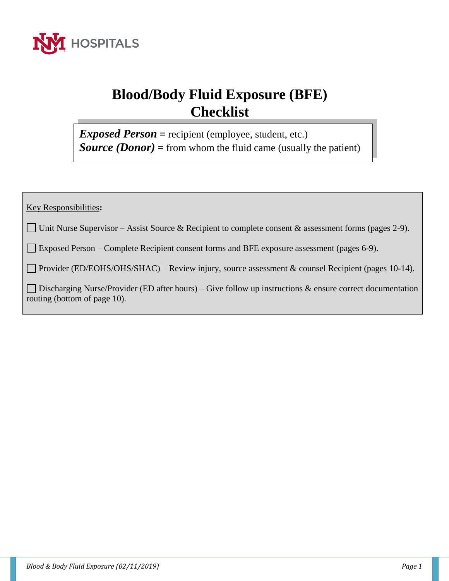

# **Blood/Body Fluid Exposure (BFE) Checklist**

*Exposed Person* **=** recipient (employee, student, etc.) *Source (Donor)* **=** from whom the fluid came (usually the patient)

Key Responsibilities**:**

Unit Nurse Supervisor – Assist Source & Recipient to complete consent & assessment forms (pages 2-9).

Exposed Person – Complete Recipient consent forms and BFE exposure assessment (pages 6-9).

Provider (ED/EOHS/OHS/SHAC) – Review injury, source assessment & counsel Recipient (pages 10-14).

Discharging Nurse/Provider (ED after hours) – Give follow up instructions  $\&$  ensure correct documentation routing (bottom of page 10).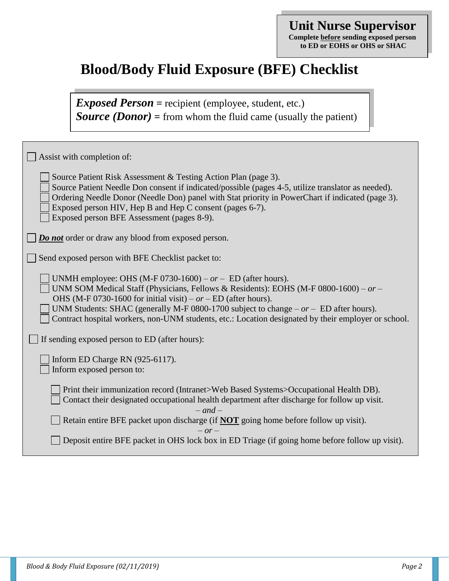### **Unit Nurse Supervisor Complete before sending exposed person to ED or EOHS or OHS or SHAC**

## **Blood/Body Fluid Exposure (BFE) Checklist**

*Exposed Person* **=** recipient (employee, student, etc.) *Source (Donor)* **=** from whom the fluid came (usually the patient)

| Assist with completion of:                                                                                                                                                                                                                                                                                                                                                                                                  |
|-----------------------------------------------------------------------------------------------------------------------------------------------------------------------------------------------------------------------------------------------------------------------------------------------------------------------------------------------------------------------------------------------------------------------------|
| Source Patient Risk Assessment & Testing Action Plan (page 3).<br>Source Patient Needle Don consent if indicated/possible (pages 4-5, utilize translator as needed).<br>Ordering Needle Donor (Needle Don) panel with Stat priority in PowerChart if indicated (page 3).<br>Exposed person HIV, Hep B and Hep C consent (pages 6-7).<br>Exposed person BFE Assessment (pages 8-9).                                          |
| <b>Do not</b> order or draw any blood from exposed person.                                                                                                                                                                                                                                                                                                                                                                  |
| Send exposed person with BFE Checklist packet to:                                                                                                                                                                                                                                                                                                                                                                           |
| UNMH employee: OHS (M-F 0730-1600) – $or - ED$ (after hours).<br>UNM SOM Medical Staff (Physicians, Fellows & Residents): EOHS (M-F 0800-1600) – or –<br>OHS (M-F 0730-1600 for initial visit) – $or$ – ED (after hours).<br>UNM Students: SHAC (generally M-F 0800-1700 subject to change $- or - ED$ after hours).<br>Contract hospital workers, non-UNM students, etc.: Location designated by their employer or school. |
| If sending exposed person to ED (after hours):                                                                                                                                                                                                                                                                                                                                                                              |
| Inform ED Charge RN (925-6117).<br>Inform exposed person to:                                                                                                                                                                                                                                                                                                                                                                |
| Print their immunization record (Intranet>Web Based Systems>Occupational Health DB).<br>Contact their designated occupational health department after discharge for follow up visit.<br>$-$ and $-$                                                                                                                                                                                                                         |
| Retain entire BFE packet upon discharge (if <b>NOT</b> going home before follow up visit).<br>$- or -$                                                                                                                                                                                                                                                                                                                      |
| Deposit entire BFE packet in OHS lock box in ED Triage (if going home before follow up visit).                                                                                                                                                                                                                                                                                                                              |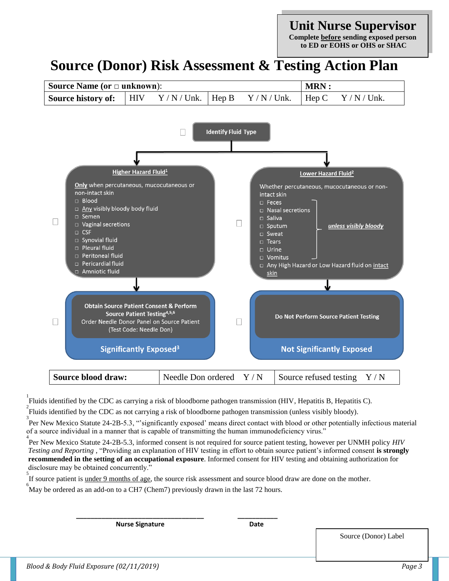### **Unit Nurse Supervisor**

**Complete before sending exposed person to ED or EOHS or OHS or SHAC**

## **Source (Donor) Risk Assessment & Testing Action Plan**



<sup>1</sup><br>Fluids identified by the CDC as carrying a risk of bloodborne pathogen transmission (HIV, Hepatitis B, Hepatitis C).

<sup>2</sup><br>Fluids identified by the CDC as not carrying a risk of bloodborne pathogen transmission (unless visibly bloody).

<sup>3</sup><br>Per New Mexico Statute 24-2B-5.3, "significantly exposed' means direct contact with blood or other potentially infectious material of a source individual in a manner that is capable of transmitting the human immunodeficiency virus."

4 Per New Mexico Statute 24-2B-5.3, informed consent is not required for source patient testing, however per UNMH policy *HIV Testing and Reporting* , "Providing an explanation of HIV testing in effort to obtain source patient's informed consent **is strongly recommended in the setting of an occupational exposure**. Informed consent for HIV testing and obtaining authorization for disclosure may be obtained concurrently."

<sup>5</sup><br>If source patient is <u>under 9 months of age</u>, the source risk assessment and source blood draw are done on the mother.

6 May be ordered as an add-on to a CH7 (Chem7) previously drawn in the last 72 hours.

 **\_\_\_\_\_\_\_\_\_\_\_\_\_\_\_\_\_\_\_\_\_\_\_\_\_\_\_\_\_\_\_\_\_\_\_ \_\_\_\_\_\_\_\_\_\_\_**

**Nurse Signature Date** 

Source (Donor) Label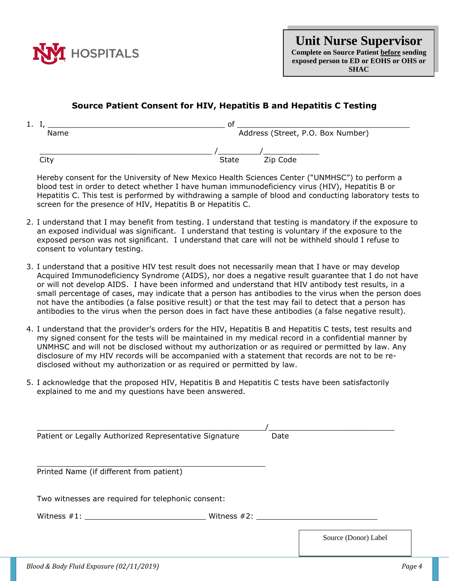

**Unit Nurse Supervisor Complete on Source Patient before sending exposed person to ED or EOHS or OHS or SHAC**

### **Source Patient Consent for HIV, Hepatitis B and Hepatitis C Testing**

| <u>д.,</u> | ∩t                                |
|------------|-----------------------------------|
| Name       | Address (Street, P.O. Box Number) |
|            |                                   |
| City       | Zip Code<br>State                 |

Hereby consent for the University of New Mexico Health Sciences Center ("UNMHSC") to perform a blood test in order to detect whether I have human immunodeficiency virus (HIV), Hepatitis B or Hepatitis C. This test is performed by withdrawing a sample of blood and conducting laboratory tests to screen for the presence of HIV, Hepatitis B or Hepatitis C.

- 2. I understand that I may benefit from testing. I understand that testing is mandatory if the exposure to an exposed individual was significant. I understand that testing is voluntary if the exposure to the exposed person was not significant. I understand that care will not be withheld should I refuse to consent to voluntary testing.
- 3. I understand that a positive HIV test result does not necessarily mean that I have or may develop Acquired Immunodeficiency Syndrome (AIDS), nor does a negative result guarantee that I do not have or will not develop AIDS. I have been informed and understand that HIV antibody test results, in a small percentage of cases, may indicate that a person has antibodies to the virus when the person does not have the antibodies (a false positive result) or that the test may fail to detect that a person has antibodies to the virus when the person does in fact have these antibodies (a false negative result).
- 4. I understand that the provider's orders for the HIV, Hepatitis B and Hepatitis C tests, test results and my signed consent for the tests will be maintained in my medical record in a confidential manner by UNMHSC and will not be disclosed without my authorization or as required or permitted by law. Any disclosure of my HIV records will be accompanied with a statement that records are not to be redisclosed without my authorization or as required or permitted by law.
- 5. I acknowledge that the proposed HIV, Hepatitis B and Hepatitis C tests have been satisfactorily explained to me and my questions have been answered.

| Patient or Legally Authorized Representative Signature | Date |                      |
|--------------------------------------------------------|------|----------------------|
| Printed Name (if different from patient)               |      |                      |
| Two witnesses are required for telephonic consent:     |      |                      |
| Witness $#1$ :                                         |      |                      |
|                                                        |      | Source (Donor) Label |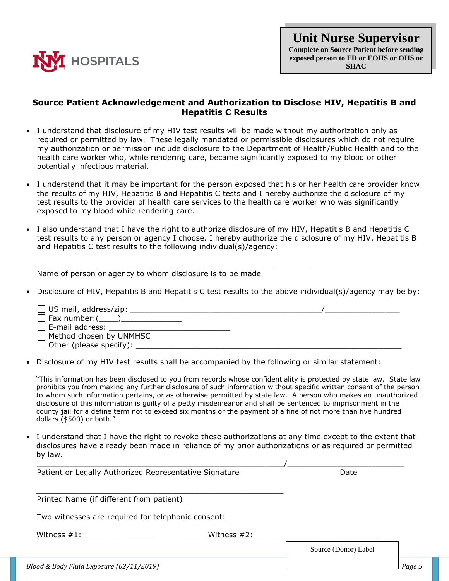

#### **Source Patient Acknowledgement and Authorization to Disclose HIV, Hepatitis B and Hepatitis C Results**

- I understand that disclosure of my HIV test results will be made without my authorization only as required or permitted by law. These legally mandated or permissible disclosures which do not require my authorization or permission include disclosure to the Department of Health/Public Health and to the health care worker who, while rendering care, became significantly exposed to my blood or other potentially infectious material.
- I understand that it may be important for the person exposed that his or her health care provider know the results of my HIV, Hepatitis B and Hepatitis C tests and I hereby authorize the disclosure of my test results to the provider of health care services to the health care worker who was significantly exposed to my blood while rendering care.
- I also understand that I have the right to authorize disclosure of my HIV, Hepatitis B and Hepatitis C test results to any person or agency I choose. I hereby authorize the disclosure of my HIV, Hepatitis B and Hepatitis C test results to the following individual(s)/agency:

Name of person or agency to whom disclosure is to be made

 $\_$  , and the set of the set of the set of the set of the set of the set of the set of the set of the set of the set of the set of the set of the set of the set of the set of the set of the set of the set of the set of th

Disclosure of HIV, Hepatitis B and Hepatitis C test results to the above individual(s)/agency may be by:

| $\Box$ US mail, address/zip:   |  |
|--------------------------------|--|
| $\Box$ Fax number:(_____)_     |  |
| $\Box$ E-mail address:         |  |
| $\Box$ Method chosen by UNMHSC |  |
| $\Box$ Other (please specify): |  |

Disclosure of my HIV test results shall be accompanied by the following or similar statement:

"This information has been disclosed to you from records whose confidentiality is protected by state law. State law prohibits you from making any further disclosure of such information without specific written consent of the person to whom such information pertains, or as otherwise permitted by state law. A person who makes an unauthorized disclosure of this information is guilty of a petty misdemeanor and shall be sentenced to imprisonment in the county **j**ail for a define term not to exceed six months or the payment of a fine of not more than five hundred dollars (\$500) or both."

• I understand that I have the right to revoke these authorizations at any time except to the extent that disclosures have already been made in reliance of my prior authorizations or as required or permitted by law.

| Patient or Legally Authorized Representative Signature | Date                 |
|--------------------------------------------------------|----------------------|
| Printed Name (if different from patient)               |                      |
| Two witnesses are required for telephonic consent:     |                      |
| Witness $#1$ :<br>Witness $#2$ :                       |                      |
|                                                        | Source (Donor) Label |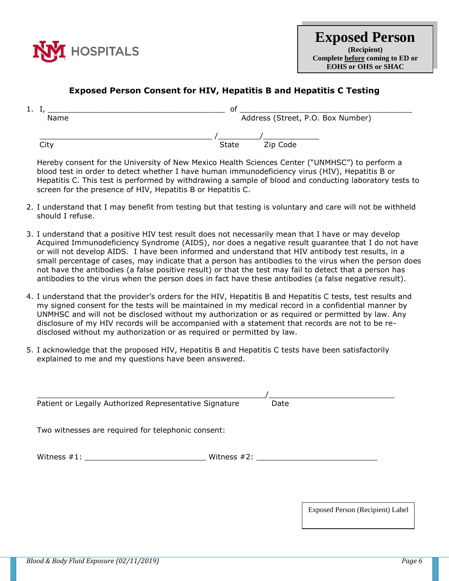

### **Exposed Person Consent for HIV, Hepatitis B and Hepatitis C Testing**

| <b>.</b> | ог                                |
|----------|-----------------------------------|
| Name     | Address (Street, P.O. Box Number) |
|          |                                   |
| City     | Zip Code<br><b>State</b>          |

Hereby consent for the University of New Mexico Health Sciences Center ("UNMHSC") to perform a blood test in order to detect whether I have human immunodeficiency virus (HIV), Hepatitis B or Hepatitis C. This test is performed by withdrawing a sample of blood and conducting laboratory tests to screen for the presence of HIV, Hepatitis B or Hepatitis C.

- 2. I understand that I may benefit from testing but that testing is voluntary and care will not be withheld should I refuse.
- 3. I understand that a positive HIV test result does not necessarily mean that I have or may develop Acquired Immunodeficiency Syndrome (AIDS), nor does a negative result guarantee that I do not have or will not develop AIDS. I have been informed and understand that HIV antibody test results, in a small percentage of cases, may indicate that a person has antibodies to the virus when the person does not have the antibodies (a false positive result) or that the test may fail to detect that a person has antibodies to the virus when the person does in fact have these antibodies (a false negative result).
- 4. I understand that the provider's orders for the HIV, Hepatitis B and Hepatitis C tests, test results and my signed consent for the tests will be maintained in my medical record in a confidential manner by UNMHSC and will not be disclosed without my authorization or as required or permitted by law. Any disclosure of my HIV records will be accompanied with a statement that records are not to be redisclosed without my authorization or as required or permitted by law.
- 5. I acknowledge that the proposed HIV, Hepatitis B and Hepatitis C tests have been satisfactorily explained to me and my questions have been answered.

| Patient or Legally Authorized Representative Signature | Date           |
|--------------------------------------------------------|----------------|
| Two witnesses are required for telephonic consent:     |                |
| Witness $#1$ :                                         | Witness $#2$ : |
|                                                        |                |

Exposed Person (Recipient) Label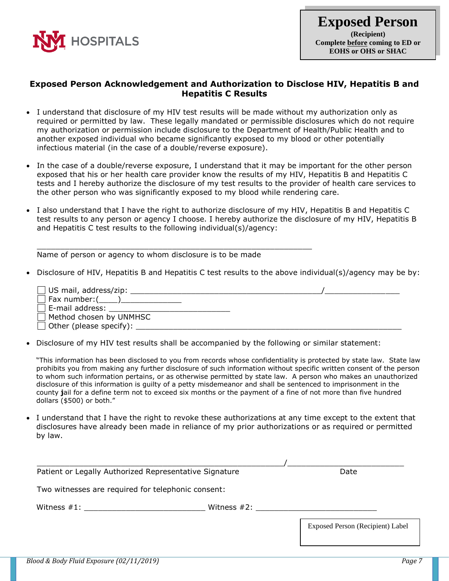

#### **Exposed Person Acknowledgement and Authorization to Disclose HIV, Hepatitis B and Hepatitis C Results**

- I understand that disclosure of my HIV test results will be made without my authorization only as required or permitted by law. These legally mandated or permissible disclosures which do not require my authorization or permission include disclosure to the Department of Health/Public Health and to another exposed individual who became significantly exposed to my blood or other potentially infectious material (in the case of a double/reverse exposure).
- In the case of a double/reverse exposure, I understand that it may be important for the other person exposed that his or her health care provider know the results of my HIV, Hepatitis B and Hepatitis C tests and I hereby authorize the disclosure of my test results to the provider of health care services to the other person who was significantly exposed to my blood while rendering care.
- I also understand that I have the right to authorize disclosure of my HIV, Hepatitis B and Hepatitis C test results to any person or agency I choose. I hereby authorize the disclosure of my HIV, Hepatitis B and Hepatitis C test results to the following individual(s)/agency:

Name of person or agency to whom disclosure is to be made

\_\_\_\_\_\_\_\_\_\_\_\_\_\_\_\_\_\_\_\_\_\_\_\_\_\_\_\_\_\_\_\_\_\_\_\_\_\_\_\_\_\_\_\_\_\_\_\_\_\_\_\_\_\_\_\_\_\_\_

Disclosure of HIV, Hepatitis B and Hepatitis C test results to the above individual(s)/agency may be by:

| $\Box$ US mail, address/zip:      |  |
|-----------------------------------|--|
| $\Box$ Fax number: $(\_\_\_\)_\_$ |  |
| $\Box$ E-mail address:            |  |
| $\Box$ Method chosen by UNMHSC    |  |
| $\Box$ Other (please specify):    |  |
|                                   |  |

Disclosure of my HIV test results shall be accompanied by the following or similar statement:

"This information has been disclosed to you from records whose confidentiality is protected by state law. State law prohibits you from making any further disclosure of such information without specific written consent of the person to whom such information pertains, or as otherwise permitted by state law. A person who makes an unauthorized disclosure of this information is guilty of a petty misdemeanor and shall be sentenced to imprisonment in the county **j**ail for a define term not to exceed six months or the payment of a fine of not more than five hundred dollars (\$500) or both."

 I understand that I have the right to revoke these authorizations at any time except to the extent that disclosures have already been made in reliance of my prior authorizations or as required or permitted by law.

| Patient or Legally Authorized Representative Signature |                 | Date                             |
|--------------------------------------------------------|-----------------|----------------------------------|
| Two witnesses are required for telephonic consent:     |                 |                                  |
| Witness $\#1$ : $\qquad \qquad$                        | Witness $\#2$ : |                                  |
|                                                        |                 | Exposed Person (Recipient) Label |
|                                                        |                 |                                  |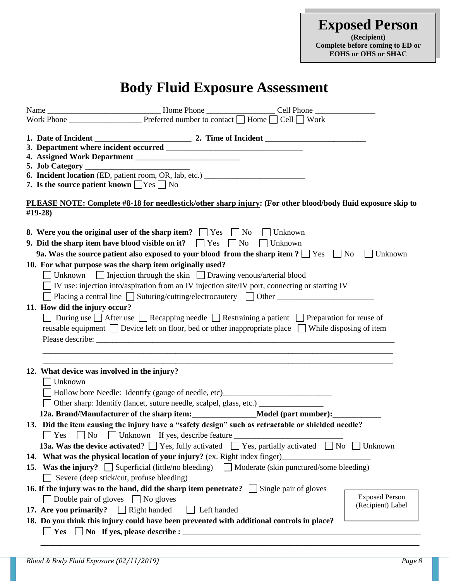**Exposed Person (Recipient) Complete before coming to ED or EOHS or OHS or SHAC**

# **Body Fluid Exposure Assessment**

|                                                     | 6. Incident location (ED, patient room, OR, lab, etc.) _________________________                                                                                                                                                                                          |                       |
|-----------------------------------------------------|---------------------------------------------------------------------------------------------------------------------------------------------------------------------------------------------------------------------------------------------------------------------------|-----------------------|
| 7. Is the source patient known $\Box$ Yes $\Box$ No |                                                                                                                                                                                                                                                                           |                       |
| #19-28)                                             | PLEASE NOTE: Complete #8-18 for needlestick/other sharp injury: (For other blood/body fluid exposure skip to                                                                                                                                                              |                       |
|                                                     | <b>8.</b> Were you the original user of the sharp item? $\Box$ Yes $\Box$ No $\Box$ Unknown<br>9. Did the sharp item have blood visible on it? $\Box$ Yes $\Box$ No<br>$\Box$ Unknown                                                                                     |                       |
|                                                     | 9a. Was the source patient also exposed to your blood from the sharp item ? $\Box$ Yes $\Box$ No                                                                                                                                                                          | Unknown               |
|                                                     | 10. For what purpose was the sharp item originally used?                                                                                                                                                                                                                  |                       |
|                                                     | □ Unknown □ Injection through the skin □ Drawing venous/arterial blood<br>$\Box$ IV use: injection into/aspiration from an IV injection site/IV port, connecting or starting IV<br>□ Placing a central line □ Suturing/cutting/electrocautery □ Other ___________________ |                       |
| 11. How did the injury occur?                       |                                                                                                                                                                                                                                                                           |                       |
|                                                     | During use $\Box$ After use $\Box$ Recapping needle $\Box$ Restraining a patient $\Box$ Preparation for reuse of                                                                                                                                                          |                       |
|                                                     | reusable equipment $\Box$ Device left on floor, bed or other inappropriate place $\Box$ While disposing of item                                                                                                                                                           |                       |
|                                                     |                                                                                                                                                                                                                                                                           |                       |
| 12. What device was involved in the injury?         |                                                                                                                                                                                                                                                                           |                       |
| Unknown                                             |                                                                                                                                                                                                                                                                           |                       |
|                                                     | □ Hollow bore Needle: Identify (gauge of needle, etc)___________________________                                                                                                                                                                                          |                       |
|                                                     |                                                                                                                                                                                                                                                                           |                       |
|                                                     | 12a. Brand/Manufacturer of the sharp item:________________Model (part number):_________                                                                                                                                                                                   |                       |
|                                                     | 13. Did the item causing the injury have a "safety design" such as retractable or shielded needle?                                                                                                                                                                        |                       |
|                                                     | □ Yes □ No □ Unknown If yes, describe feature __________________________________                                                                                                                                                                                          |                       |
|                                                     | <b>13a.</b> Was the device activated? $\Box$ Yes, fully activated $\Box$ Yes, partially activated $\Box$ No                                                                                                                                                               | $\Box$ Unknown        |
|                                                     | 14. What was the physical location of your injury? (ex. Right index finger)                                                                                                                                                                                               |                       |
|                                                     | <b>15.</b> Was the injury? $\Box$ Superficial (little/no bleeding) $\Box$ Moderate (skin punctured/some bleeding)                                                                                                                                                         |                       |
|                                                     | Severe (deep stick/cut, profuse bleeding)                                                                                                                                                                                                                                 |                       |
|                                                     | 16. If the injury was to the hand, did the sharp item penetrate? $\Box$ Single pair of gloves                                                                                                                                                                             |                       |
|                                                     | Double pair of gloves $\Box$ No gloves                                                                                                                                                                                                                                    | <b>Exposed Person</b> |
| 17. Are you primarily? $\Box$ Right handed          | Left handed                                                                                                                                                                                                                                                               | (Recipient) Label     |
|                                                     | 18. Do you think this injury could have been prevented with additional controls in place?                                                                                                                                                                                 |                       |
| $Yes \Box$                                          |                                                                                                                                                                                                                                                                           |                       |

 **\_\_\_\_\_\_\_\_\_\_\_\_\_\_\_\_\_\_\_\_\_\_\_\_\_\_\_\_\_\_\_\_\_\_\_\_\_\_\_\_\_\_\_\_\_\_\_\_\_\_\_\_\_\_\_\_\_\_\_\_\_\_\_\_\_\_\_\_\_\_\_\_\_\_\_\_\_\_\_\_\_\_\_\_\_\_\_\_\_\_\_\_\_\_**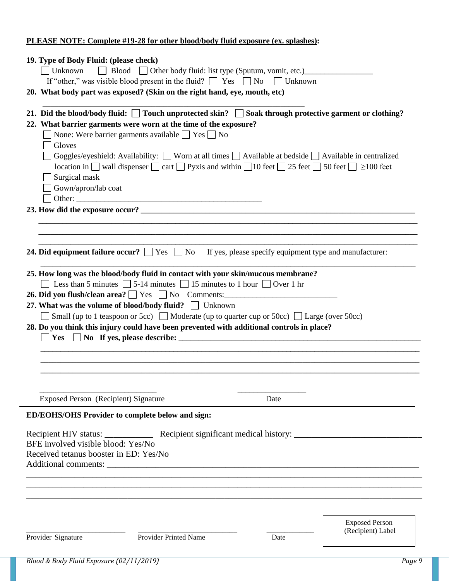### **PLEASE NOTE: Complete #19-28 for other blood/body fluid exposure (ex. splashes):**

| 19. Type of Body Fluid: (please check)                                    |                                                                                      |                                                                                                                                     |                       |
|---------------------------------------------------------------------------|--------------------------------------------------------------------------------------|-------------------------------------------------------------------------------------------------------------------------------------|-----------------------|
| Unknown                                                                   |                                                                                      | Blood Other body fluid: list type (Sputum, vomit, etc.)                                                                             |                       |
|                                                                           | If "other," was visible blood present in the fluid? $\Box$ Yes $\Box$ No             | $\Box$ Unknown                                                                                                                      |                       |
| 20. What body part was exposed? (Skin on the right hand, eye, mouth, etc) |                                                                                      |                                                                                                                                     |                       |
|                                                                           |                                                                                      | 21. Did the blood/body fluid: $\Box$ Touch unprotected skin? $\Box$ Soak through protective garment or clothing?                    |                       |
| 22. What barrier garments were worn at the time of the exposure?          |                                                                                      |                                                                                                                                     |                       |
|                                                                           | None: Were barrier garments available $\Box$ Yes $\Box$ No                           |                                                                                                                                     |                       |
| Gloves                                                                    |                                                                                      |                                                                                                                                     |                       |
|                                                                           |                                                                                      | Goggles/eyeshield: Availability: Worn at all times $\Box$ Available at bedside $\Box$ Available in centralized                      |                       |
|                                                                           |                                                                                      | location in $\Box$ wall dispenser $\Box$ cart $\Box$ Pyxis and within $\Box$ 10 feet $\Box$ 25 feet $\Box$ 50 feet $\Box$ 2100 feet |                       |
| Surgical mask                                                             |                                                                                      |                                                                                                                                     |                       |
| Gown/apron/lab coat                                                       |                                                                                      |                                                                                                                                     |                       |
|                                                                           | Other:                                                                               |                                                                                                                                     |                       |
|                                                                           |                                                                                      |                                                                                                                                     |                       |
|                                                                           |                                                                                      |                                                                                                                                     |                       |
|                                                                           |                                                                                      |                                                                                                                                     |                       |
|                                                                           |                                                                                      |                                                                                                                                     |                       |
|                                                                           |                                                                                      | <b>24. Did equipment failure occur?</b> $\Box$ Yes $\Box$ No If yes, please specify equipment type and manufacturer:                |                       |
|                                                                           |                                                                                      | 25. How long was the blood/body fluid in contact with your skin/mucous membrane?                                                    |                       |
|                                                                           | Less than 5 minutes $\Box$ 5-14 minutes $\Box$ 15 minutes to 1 hour $\Box$ Over 1 hr |                                                                                                                                     |                       |
|                                                                           |                                                                                      |                                                                                                                                     |                       |
|                                                                           |                                                                                      | 26. Did you flush/clean area? $\Box$ Yes $\Box$ No Comments:                                                                        |                       |
| 27. What was the volume of blood/body fluid? Inknown                      |                                                                                      |                                                                                                                                     |                       |
|                                                                           |                                                                                      |                                                                                                                                     |                       |
|                                                                           |                                                                                      | Small (up to 1 teaspoon or 5cc) $\Box$ Moderate (up to quarter cup or 50cc) $\Box$ Large (over 50cc)                                |                       |
|                                                                           |                                                                                      | 28. Do you think this injury could have been prevented with additional controls in place?                                           |                       |
|                                                                           |                                                                                      |                                                                                                                                     |                       |
|                                                                           |                                                                                      |                                                                                                                                     |                       |
|                                                                           |                                                                                      |                                                                                                                                     |                       |
|                                                                           |                                                                                      |                                                                                                                                     |                       |
|                                                                           |                                                                                      |                                                                                                                                     |                       |
| Exposed Person (Recipient) Signature                                      |                                                                                      | Date                                                                                                                                |                       |
|                                                                           |                                                                                      |                                                                                                                                     |                       |
| <b>ED/EOHS/OHS Provider to complete below and sign:</b>                   |                                                                                      |                                                                                                                                     |                       |
|                                                                           |                                                                                      |                                                                                                                                     |                       |
| BFE involved visible blood: Yes/No                                        |                                                                                      |                                                                                                                                     |                       |
| Received tetanus booster in ED: Yes/No                                    |                                                                                      |                                                                                                                                     |                       |
|                                                                           |                                                                                      |                                                                                                                                     |                       |
|                                                                           |                                                                                      |                                                                                                                                     |                       |
|                                                                           |                                                                                      |                                                                                                                                     |                       |
|                                                                           |                                                                                      |                                                                                                                                     |                       |
|                                                                           |                                                                                      |                                                                                                                                     |                       |
|                                                                           |                                                                                      |                                                                                                                                     |                       |
|                                                                           |                                                                                      |                                                                                                                                     | <b>Exposed Person</b> |
| Provider Signature                                                        | Provider Printed Name                                                                | Date                                                                                                                                | (Recipient) Label     |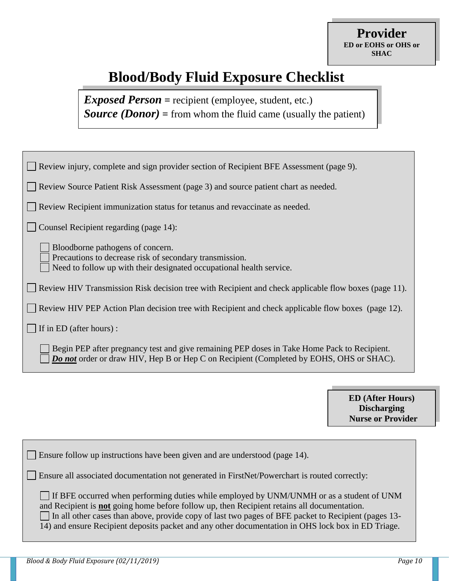# **Blood/Body Fluid Exposure Checklist**

*Exposed Person* **=** recipient (employee, student, etc.) *Source (Donor)* **=** from whom the fluid came (usually the patient)

| Review injury, complete and sign provider section of Recipient BFE Assessment (page 9).                                                                                                       |
|-----------------------------------------------------------------------------------------------------------------------------------------------------------------------------------------------|
| Review Source Patient Risk Assessment (page 3) and source patient chart as needed.                                                                                                            |
| Review Recipient immunization status for tetanus and revaccinate as needed.                                                                                                                   |
| Counsel Recipient regarding (page 14):                                                                                                                                                        |
| Bloodborne pathogens of concern.<br>Precautions to decrease risk of secondary transmission.<br>Need to follow up with their designated occupational health service.                           |
| Review HIV Transmission Risk decision tree with Recipient and check applicable flow boxes (page 11).                                                                                          |
| Review HIV PEP Action Plan decision tree with Recipient and check applicable flow boxes (page 12).                                                                                            |
| If in ED (after hours):                                                                                                                                                                       |
| Begin PEP after pregnancy test and give remaining PEP doses in Take Home Pack to Recipient.<br><b>Do not</b> order or draw HIV, Hep B or Hep C on Recipient (Completed by EOHS, OHS or SHAC). |

**ED (After Hours) Discharging Nurse or Provider**

| $\Box$ Ensure follow up instructions have been given and are understood (page 14).                                                                                                                                                                                                                                                                                                                                 |
|--------------------------------------------------------------------------------------------------------------------------------------------------------------------------------------------------------------------------------------------------------------------------------------------------------------------------------------------------------------------------------------------------------------------|
| Ensure all associated documentation not generated in FirstNet/Powerchart is routed correctly:                                                                                                                                                                                                                                                                                                                      |
| If BFE occurred when performing duties while employed by UNM/UNMH or as a student of UNM<br>and Recipient is <b>not</b> going home before follow up, then Recipient retains all documentation.<br>$\Box$ In all other cases than above, provide copy of last two pages of BFE packet to Recipient (pages 13-<br>14) and ensure Recipient deposits packet and any other documentation in OHS lock box in ED Triage. |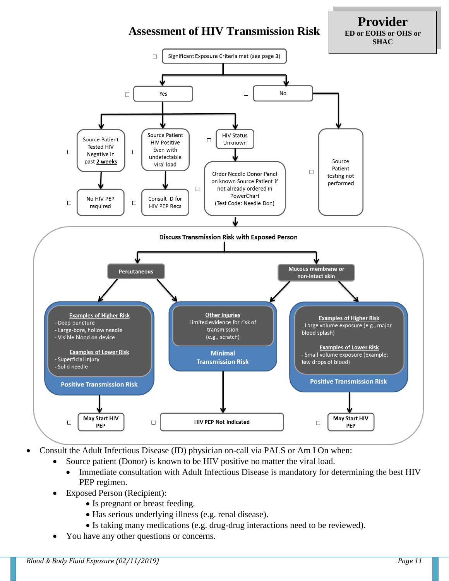

**Provider ED or EOHS or OHS or SHAC**



- Consult the Adult Infectious Disease (ID) physician on-call via PALS or Am I On when:
	- Source patient (Donor) is known to be HIV positive no matter the viral load.
		- Immediate consultation with Adult Infectious Disease is mandatory for determining the best HIV PEP regimen.
		- Exposed Person (Recipient):
			- Is pregnant or breast feeding.
			- Has serious underlying illness (e.g. renal disease).
			- Is taking many medications (e.g. drug-drug interactions need to be reviewed).
	- You have any other questions or concerns.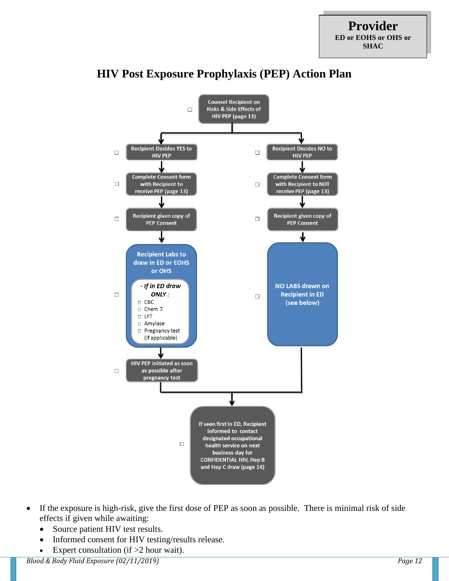

### **HIV Post Exposure Prophylaxis (PEP) Action Plan**

- If the exposure is high-risk, give the first dose of PEP as soon as possible.There is minimal risk of side effects if given while awaiting:
	- Source patient HIV test results.
	- Informed consent for HIV testing/results release.
	- Expert consultation (if  $>2$  hour wait).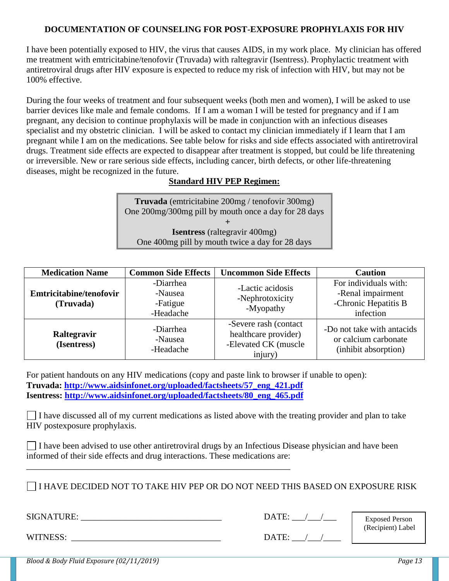#### **DOCUMENTATION OF COUNSELING FOR POST-EXPOSURE PROPHYLAXIS FOR HIV**

I have been potentially exposed to HIV, the virus that causes AIDS, in my work place. My clinician has offered me treatment with emtricitabine/tenofovir (Truvada) with raltegravir (Isentress). Prophylactic treatment with antiretroviral drugs after HIV exposure is expected to reduce my risk of infection with HIV, but may not be 100% effective.

During the four weeks of treatment and four subsequent weeks (both men and women), I will be asked to use barrier devices like male and female condoms. If I am a woman I will be tested for pregnancy and if I am pregnant, any decision to continue prophylaxis will be made in conjunction with an infectious diseases specialist and my obstetric clinician. I will be asked to contact my clinician immediately if I learn that I am pregnant while I am on the medications. See table below for risks and side effects associated with antiretroviral drugs. Treatment side effects are expected to disappear after treatment is stopped, but could be life threatening or irreversible. New or rare serious side effects, including cancer, birth defects, or other life-threatening diseases, might be recognized in the future.

#### **Standard HIV PEP Regimen:**

**Truvada** (emtricitabine 200mg / tenofovir 300mg) One 200mg/300mg pill by mouth once a day for 28 days **+ Isentress** (raltegravir 400mg) One 400mg pill by mouth twice a day for 28 days

| <b>Medication Name</b>               | <b>Common Side Effects</b>                    | <b>Uncommon Side Effects</b>                                                     | <b>Caution</b>                                                                  |
|--------------------------------------|-----------------------------------------------|----------------------------------------------------------------------------------|---------------------------------------------------------------------------------|
| Emtricitabine/tenofovir<br>(Truvada) | -Diarrhea<br>-Nausea<br>-Fatigue<br>-Headache | -Lactic acidosis<br>-Nephrotoxicity<br>-Myopathy                                 | For individuals with:<br>-Renal impairment<br>-Chronic Hepatitis B<br>infection |
| Raltegravir<br>(Isentress)           | -Diarrhea<br>-Nausea<br>-Headache             | -Severe rash (contact<br>healthcare provider)<br>-Elevated CK (muscle<br>injury) | -Do not take with antacids<br>or calcium carbonate<br>(inhibit absorption)      |

For patient handouts on any HIV medications (copy and paste link to browser if unable to open): **Truvada: [http://www.aidsinfonet.org/uploaded/factsheets/57\\_eng\\_421.pdf](http://www.aidsinfonet.org/uploaded/factsheets/57_eng_421.pdf) Isentress: [http://www.aidsinfonet.org/uploaded/factsheets/80\\_eng\\_465.pdf](http://www.aidsinfonet.org/uploaded/factsheets/80_eng_465.pdf)**

 $\Box$  I have discussed all of my current medications as listed above with the treating provider and plan to take HIV postexposure prophylaxis.

I have been advised to use other antiretroviral drugs by an Infectious Disease physician and have been informed of their side effects and drug interactions. These medications are:

I HAVE DECIDED NOT TO TAKE HIV PEP OR DO NOT NEED THIS BASED ON EXPOSURE RISK

SIGNATURE: \_\_\_\_\_\_\_\_\_\_\_\_\_\_\_\_\_\_\_\_\_\_\_\_\_\_\_\_\_\_\_\_ DATE: \_\_\_/\_\_\_/\_\_\_

Exposed Person (Recipient) Label

WITNESS: DATE:  $\sqrt{2}$ 

\_\_\_\_\_\_\_\_\_\_\_\_\_\_\_\_\_\_\_\_\_\_\_\_\_\_\_\_\_\_\_\_\_\_\_\_\_\_\_\_\_\_\_\_\_\_\_\_\_\_\_\_\_\_\_\_\_\_\_\_